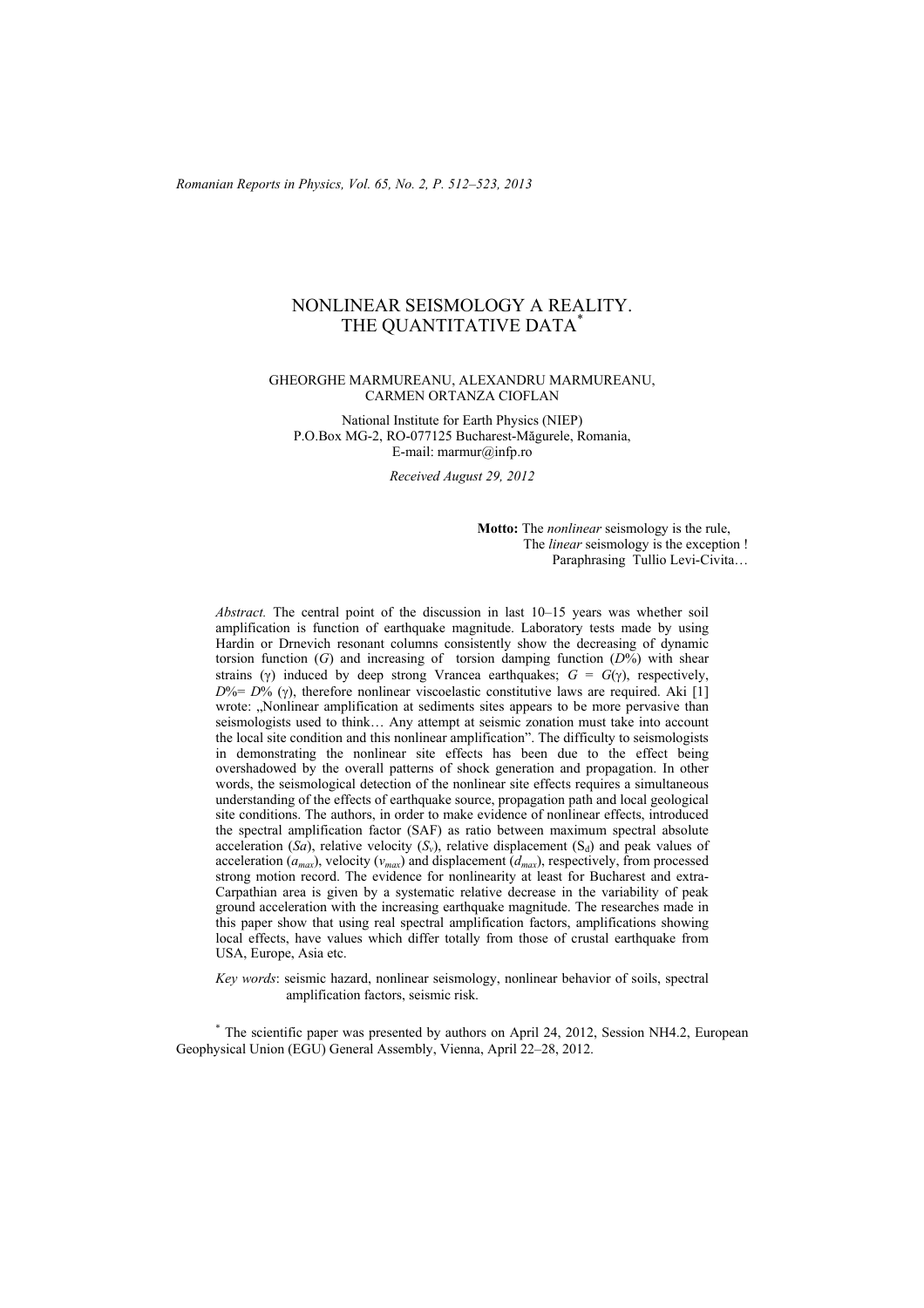# NONLINEAR SEISMOLOGY A REALITY. THE QUANTITATIVE DATA<sup>\*</sup>

#### GHEORGHE MARMUREANU, ALEXANDRU MARMUREANU, CARMEN ORTANZA CIOFLAN

National Institute for Earth Physics (NIEP) P.O.Box MG-2, RO-077125 Bucharest-Măgurele, Romania, E-mail: marmur@infp.ro

*Received August 29, 2012* 

 **Motto:** The *nonlinear* seismology is the rule, The *linear* seismology is the exception ! Paraphrasing Tullio Levi-Civita…

*Abstract.* The central point of the discussion in last 10–15 years was whether soil amplification is function of earthquake magnitude. Laboratory tests made by using Hardin or Drnevich resonant columns consistently show the decreasing of dynamic torsion function (*G*) and increasing of torsion damping function (*D*%) with shear strains (γ) induced by deep strong Vrancea earthquakes;  $G = G(\gamma)$ , respectively, *D*% = *D*% (γ), therefore nonlinear viscoelastic constitutive laws are required. Aki [1] wrote: "Nonlinear amplification at sediments sites appears to be more pervasive than seismologists used to think… Any attempt at seismic zonation must take into account the local site condition and this nonlinear amplification". The difficulty to seismologists in demonstrating the nonlinear site effects has been due to the effect being overshadowed by the overall patterns of shock generation and propagation. In other words, the seismological detection of the nonlinear site effects requires a simultaneous understanding of the effects of earthquake source, propagation path and local geological site conditions. The authors, in order to make evidence of nonlinear effects, introduced the spectral amplification factor (SAF) as ratio between maximum spectral absolute acceleration  $(S_a)$ , relative velocity  $(S_v)$ , relative displacement  $(S_a)$  and peak values of acceleration  $(a_{max})$ , velocity  $(v_{max})$  and displacement  $(d_{max})$ , respectively, from processed strong motion record. The evidence for nonlinearity at least for Bucharest and extra-Carpathian area is given by a systematic relative decrease in the variability of peak ground acceleration with the increasing earthquake magnitude. The researches made in this paper show that using real spectral amplification factors, amplifications showing local effects, have values which differ totally from those of crustal earthquake from USA, Europe, Asia etc.

*Key words*: seismic hazard, nonlinear seismology, nonlinear behavior of soils, spectral amplification factors, seismic risk.

\* The scientific paper was presented by authors on April 24, 2012, Session NH4.2, European Geophysical Union (EGU) General Assembly, Vienna, April 22–28, 2012.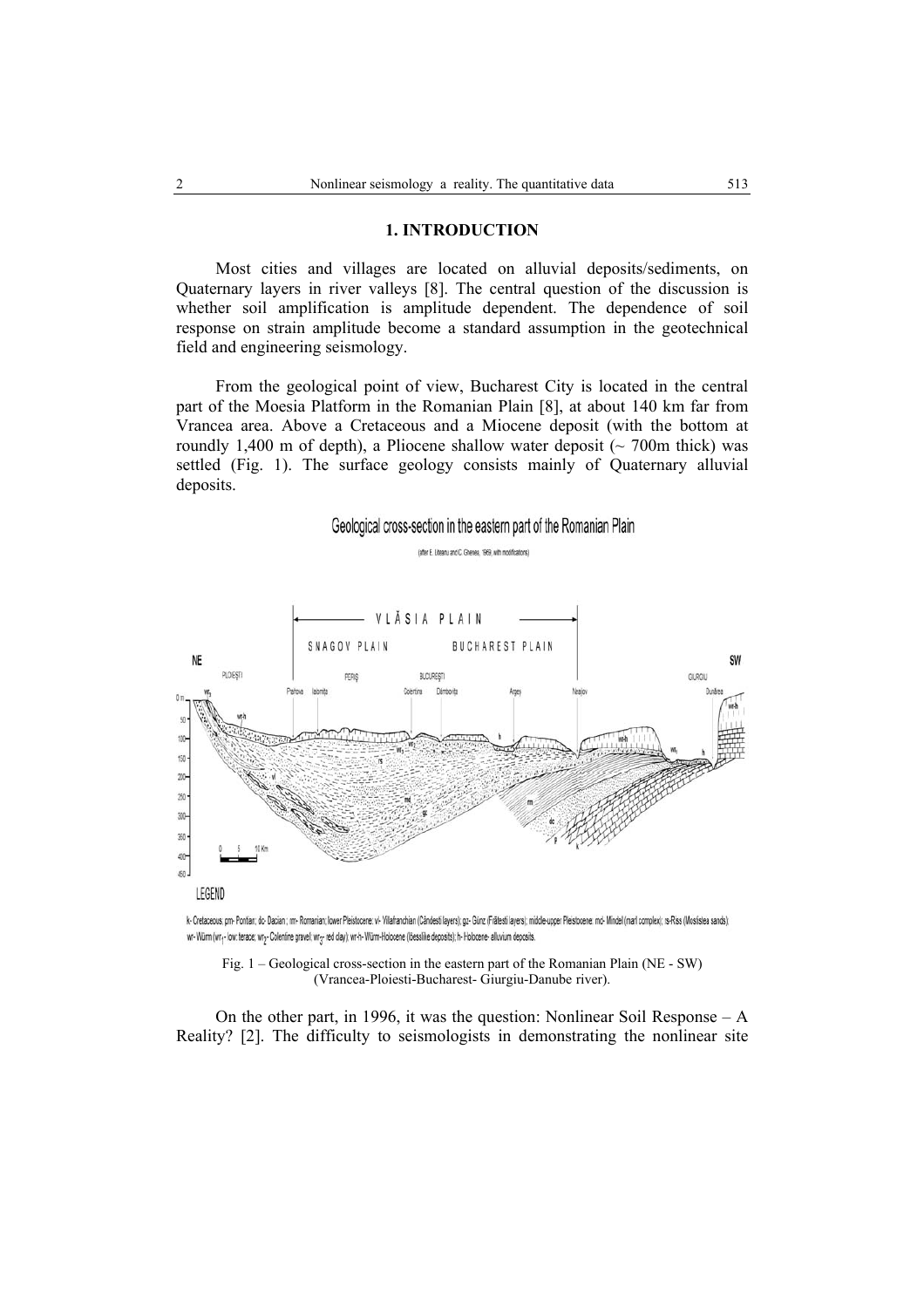## **1. INTRODUCTION**

Most cities and villages are located on alluvial deposits/sediments, on Quaternary layers in river valleys [8]. The central question of the discussion is whether soil amplification is amplitude dependent. The dependence of soil response on strain amplitude become a standard assumption in the geotechnical field and engineering seismology.

From the geological point of view, Bucharest City is located in the central part of the Moesia Platform in the Romanian Plain [8], at about 140 km far from Vrancea area. Above a Cretaceous and a Miocene deposit (with the bottom at roundly 1,400 m of depth), a Pliocene shallow water deposit  $($   $\sim$  700m thick) was settled (Fig. 1). The surface geology consists mainly of Quaternary alluvial deposits.



k- Cretaceous; pm- Pontian; dc- Dacian; rm- Romanian; lower Pleistocene: vl- Villafranchian (Cândesti layers); gz- Günz (Frätesti layers); middle-upper Pleistocene: md- Mindel (marl complex); rs-Riss (Mostistea sands); wr-Würm (wr4- low: terace; wr<sub>2</sub>- Colentine gravel; wr4- red clay); wr-h- Würm-Holocene (lõesslike deposits); h- Holocene- alluvium deposits.

Fig. 1 – Geological cross-section in the eastern part of the Romanian Plain (NE - SW) (Vrancea-Ploiesti-Bucharest- Giurgiu-Danube river).

On the other part, in 1996, it was the question: Nonlinear Soil Response – A Reality? [2]. The difficulty to seismologists in demonstrating the nonlinear site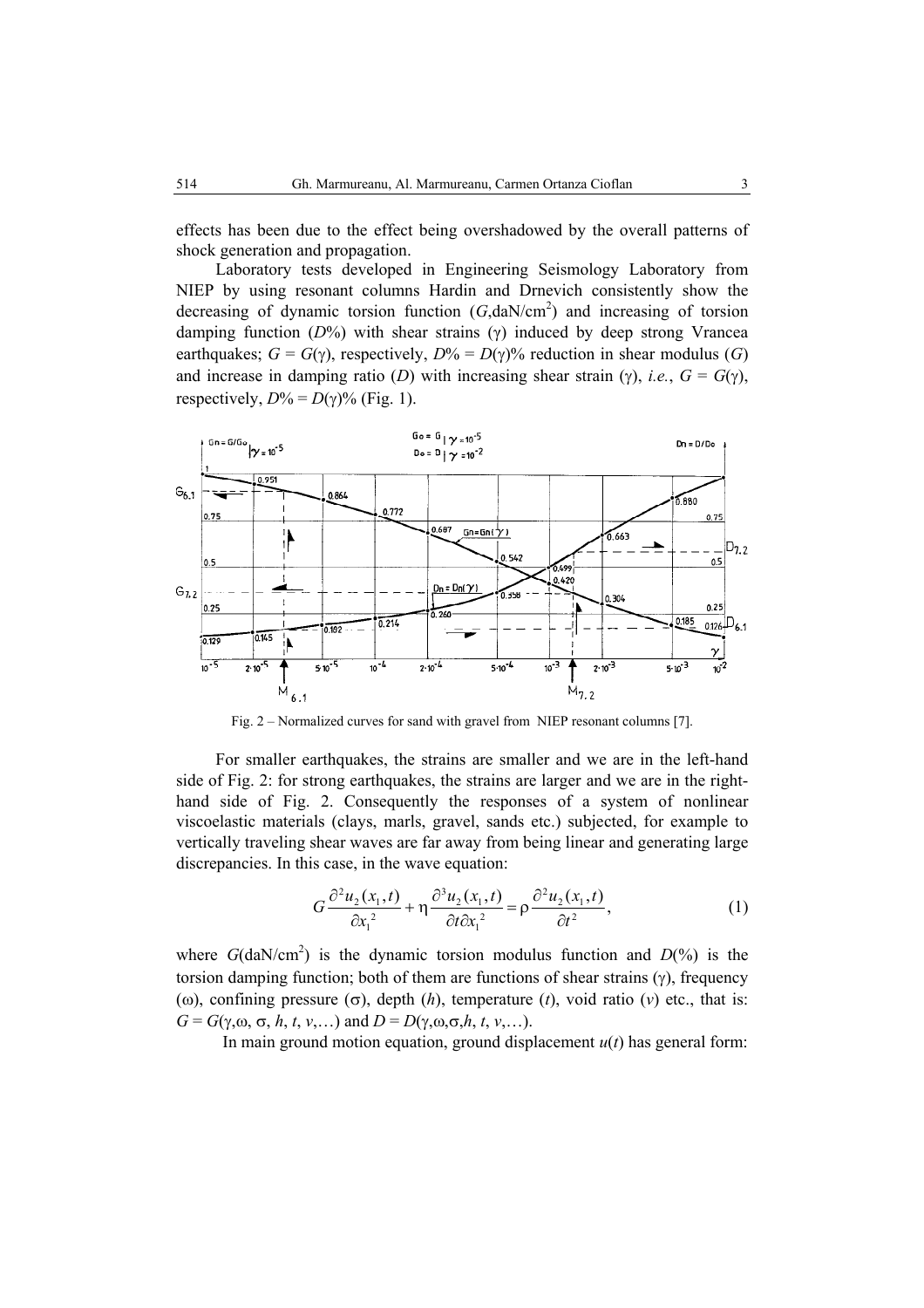effects has been due to the effect being overshadowed by the overall patterns of shock generation and propagation.

Laboratory tests developed in Engineering Seismology Laboratory from NIEP by using resonant columns Hardin and Drnevich consistently show the decreasing of dynamic torsion function  $(G, \text{d}aN/cm^2)$  and increasing of torsion damping function (*D*%) with shear strains (γ) induced by deep strong Vrancea earthquakes;  $G = G(\gamma)$ , respectively,  $D\% = D(\gamma)\%$  reduction in shear modulus (*G*) and increase in damping ratio (*D*) with increasing shear strain (γ), *i.e.*,  $G = G(\gamma)$ , respectively,  $D\% = D(\gamma)\%$  (Fig. 1).



Fig. 2 – Normalized curves for sand with gravel from NIEP resonant columns [7].

For smaller earthquakes, the strains are smaller and we are in the left-hand side of Fig. 2: for strong earthquakes, the strains are larger and we are in the righthand side of Fig. 2. Consequently the responses of a system of nonlinear viscoelastic materials (clays, marls, gravel, sands etc.) subjected, for example to vertically traveling shear waves are far away from being linear and generating large discrepancies. In this case, in the wave equation:

$$
G\frac{\partial^2 u_2(x_1,t)}{\partial x_1^2} + \eta \frac{\partial^3 u_2(x_1,t)}{\partial t \partial x_1^2} = \rho \frac{\partial^2 u_2(x_1,t)}{\partial t^2},\tag{1}
$$

where  $G(daN/cm<sup>2</sup>)$  is the dynamic torsion modulus function and  $D(\%)$  is the torsion damping function; both of them are functions of shear strains (γ), frequency (ω), confining pressure (σ), depth (*h*), temperature (*t*), void ratio (*v*) etc., that is: *G* = *G*(γ,ω, σ, *h*, *t*, *v*,...) and *D* = *D*(γ,ω, σ, *h*, *t*, *v*,...).

In main ground motion equation, ground displacement  $u(t)$  has general form: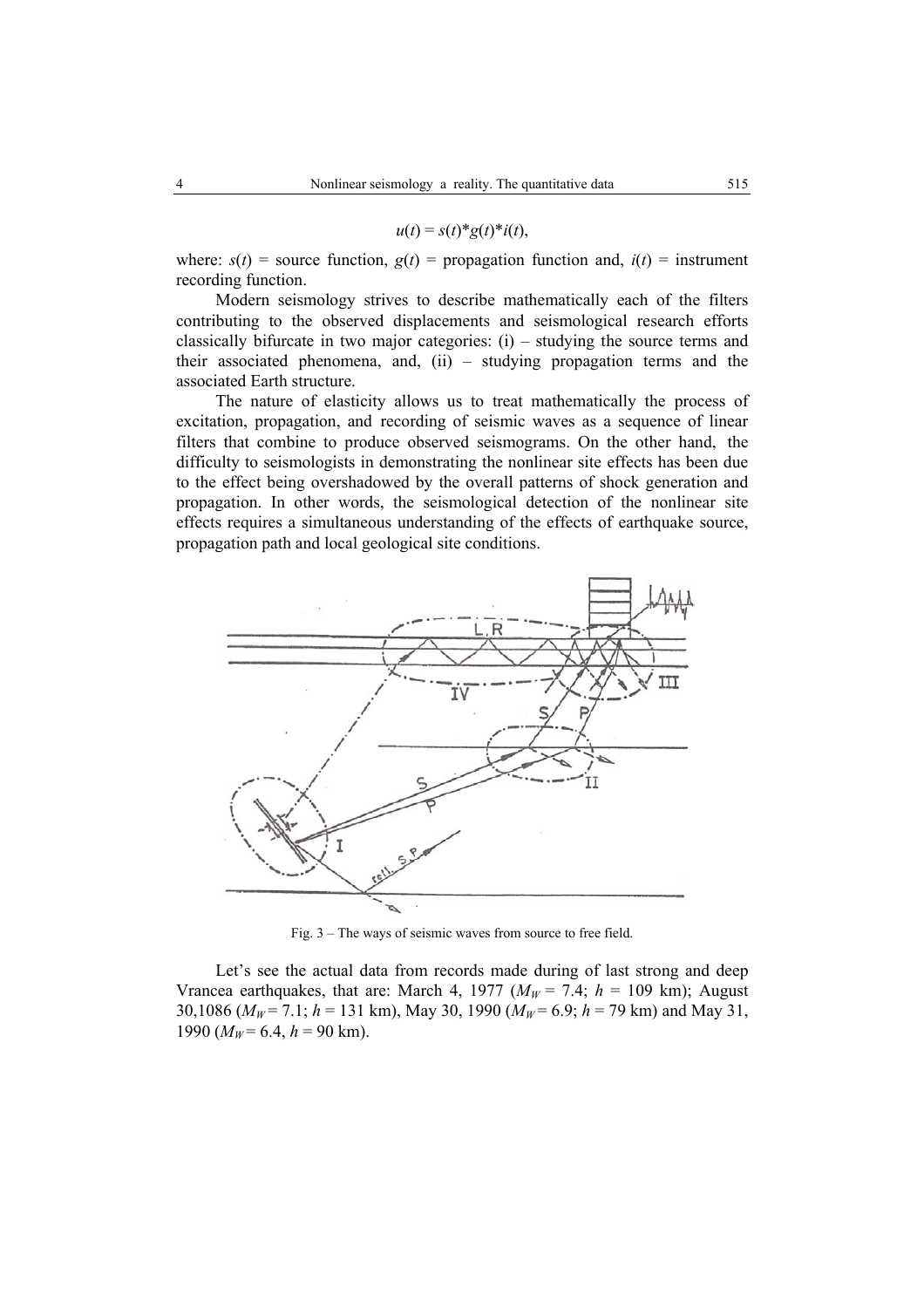$$
u(t) = s(t)^* g(t)^* i(t),
$$

where:  $s(t)$  = source function,  $g(t)$  = propagation function and,  $i(t)$  = instrument recording function.

Modern seismology strives to describe mathematically each of the filters contributing to the observed displacements and seismological research efforts classically bifurcate in two major categories: (i) – studying the source terms and their associated phenomena, and, (ii) – studying propagation terms and the associated Earth structure.

The nature of elasticity allows us to treat mathematically the process of excitation, propagation, and recording of seismic waves as a sequence of linear filters that combine to produce observed seismograms. On the other hand, the difficulty to seismologists in demonstrating the nonlinear site effects has been due to the effect being overshadowed by the overall patterns of shock generation and propagation. In other words, the seismological detection of the nonlinear site effects requires a simultaneous understanding of the effects of earthquake source, propagation path and local geological site conditions.



Fig. 3 – The ways of seismic waves from source to free field.

Let's see the actual data from records made during of last strong and deep Vrancea earthquakes, that are: March 4, 1977 ( $M_W = 7.4$ ;  $h = 109$  km); August 30,1086 ( $M_W$  = 7.1;  $h$  = 131 km), May 30, 1990 ( $M_W$  = 6.9;  $h$  = 79 km) and May 31, 1990 ( $M_W$ = 6.4,  $h$  = 90 km).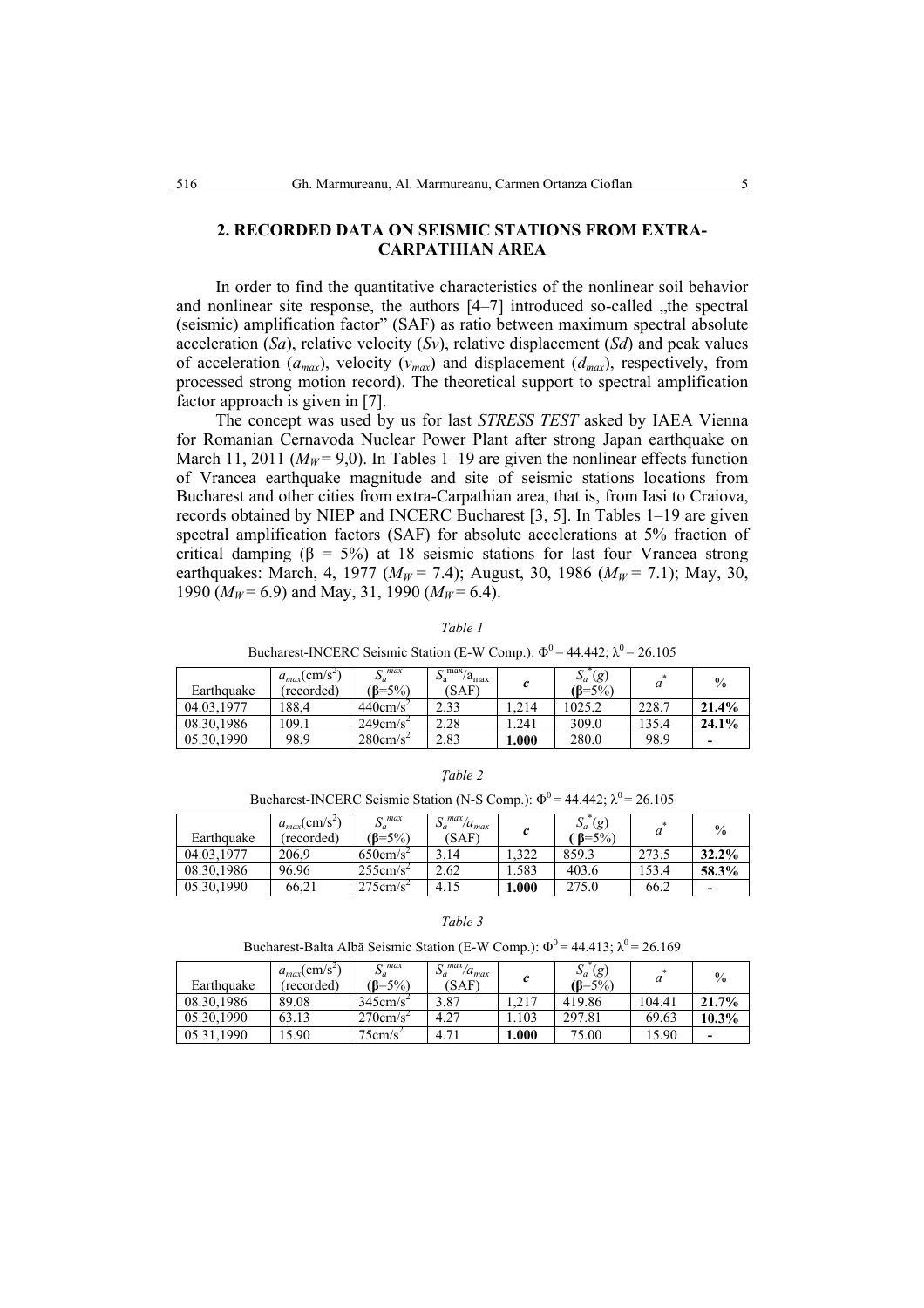## **2. RECORDED DATA ON SEISMIC STATIONS FROM EXTRA-CARPATHIAN AREA**

In order to find the quantitative characteristics of the nonlinear soil behavior and nonlinear site response, the authors  $[4-7]$  introduced so-called "the spectral (seismic) amplification factor" (SAF) as ratio between maximum spectral absolute acceleration (*Sa*), relative velocity (*Sv*), relative displacement (*Sd*) and peak values of acceleration (*amax*), velocity (*vmax*) and displacement (*dmax*), respectively, from processed strong motion record). The theoretical support to spectral amplification factor approach is given in [7].

The concept was used by us for last *STRESS TEST* asked by IAEA Vienna for Romanian Cernavoda Nuclear Power Plant after strong Japan earthquake on March 11, 2011 ( $M_W$  = 9,0). In Tables 1–19 are given the nonlinear effects function of Vrancea earthquake magnitude and site of seismic stations locations from Bucharest and other cities from extra-Carpathian area, that is, from Iasi to Craiova, records obtained by NIEP and INCERC Bucharest [3, 5]. In Tables 1–19 are given spectral amplification factors (SAF) for absolute accelerations at 5% fraction of critical damping ( $\beta = 5\%$ ) at 18 seismic stations for last four Vrancea strong earthquakes: March, 4, 1977 ( $M_W$  = 7.4); August, 30, 1986 ( $M_W$  = 7.1); May, 30, 1990 ( $M_W$ = 6.9) and May, 31, 1990 ( $M_W$ = 6.4).

*Table 1* 

Bucharest-INCERC Seismic Station (E-W Comp.):  $\Phi^0$  = 44.442;  $\lambda^0$  = 26.105

| Earthquake | $a_{max}(cm/s^2)$<br>(recorded) | $\sigma$ max<br>$\omega_a$<br>$(B=5\%)$ | $\max$ / $\alpha$<br>$a_{\text{max}}$<br>$\mathsf{\omega}_{\mathrm{a}}$<br>(SAF) |          | $S_a(g)$<br>$(B=5\%)$ | $\frac{1}{2}$ | $\%$  |
|------------|---------------------------------|-----------------------------------------|----------------------------------------------------------------------------------|----------|-----------------------|---------------|-------|
| 04.03.1977 | 88.4                            | $440 \text{cm/s}^2$                     | 2.33                                                                             | 214      | 1025.2                | 228.7         | 21.4% |
| 08.30.1986 | 09.1                            | $249 \text{cm/s}^2$                     | 2.28                                                                             | .241     | 309.0                 | 135.4         | 24.1% |
| 05.30,1990 | 98.9                            | $280 \text{cm/s}^2$                     | 2.83                                                                             | $.000$ . | 280.0                 | 98.9          |       |

*Ţable 2* 

| Bucharest-INCERC Seismic Station (N-S Comp.): $\Phi^0$ = 44.442; $\lambda^0$ = 26.105 |                                 |                                     |                                          |       |                                           |       |               |  |  |  |
|---------------------------------------------------------------------------------------|---------------------------------|-------------------------------------|------------------------------------------|-------|-------------------------------------------|-------|---------------|--|--|--|
| Earthquake                                                                            | $a_{max}(cm/s^2)$<br>(recorded) | $\overline{S_a}^{max}$<br>$(B=5\%)$ | max/<br>$a_{max}$<br>$\Delta_a$<br>(SAF) | c     | $S_a$ <sup>*</sup> $(g)$<br>$\beta = 5\%$ | $a^*$ | $\frac{0}{0}$ |  |  |  |
| 04.03.1977                                                                            | 206,9                           | $650 \text{cm/s}^2$                 | 3.14                                     | .322  | 859.3                                     | 273.5 | $32.2\%$      |  |  |  |
| 08.30,1986                                                                            | 96.96                           | $255 \text{cm/s}^2$                 | 2.62                                     | 1.583 | 403.6                                     | 153.4 | 58.3%         |  |  |  |
| 05.30,1990                                                                            | 66.21                           | $275 \text{cm/s}^2$                 | 4.15                                     | 1.000 | 275.0                                     | 66.2  |               |  |  |  |

*Table 3* 

Bucharest-Balta Albă Seismic Station (E-W Comp.):  $\Phi^0$  = 44.413;  $\lambda^0$  = 26.169

| Earthquake | $a_{max}(cm/s^2)$<br>(recorded) | $\alpha$ max<br>$\omega_a$<br>$\beta = 5\%$ | max/<br>$a_{max}$<br>$\omega_a$<br>(SAF) | c    | $S_a$ <sup><math>\check{g}</math></sup><br>$(B=5\%)$ | *<br>a | $\%$     |
|------------|---------------------------------|---------------------------------------------|------------------------------------------|------|------------------------------------------------------|--------|----------|
| 08.30.1986 | 89.08                           | $345 \text{cm/s}^2$                         | 3.87                                     | .217 | 419.86                                               | 104.41 | 21.7%    |
| 05.30,1990 | 63.13                           | $270 \text{cm/s}^2$                         | 4.27                                     | .103 | 297.81                                               | 69.63  | $10.3\%$ |
| 05.31.1990 | 5.90                            | $75 \text{cm/s}^2$                          | 4.71                                     | 000  | 75.00                                                | 15.90  | -        |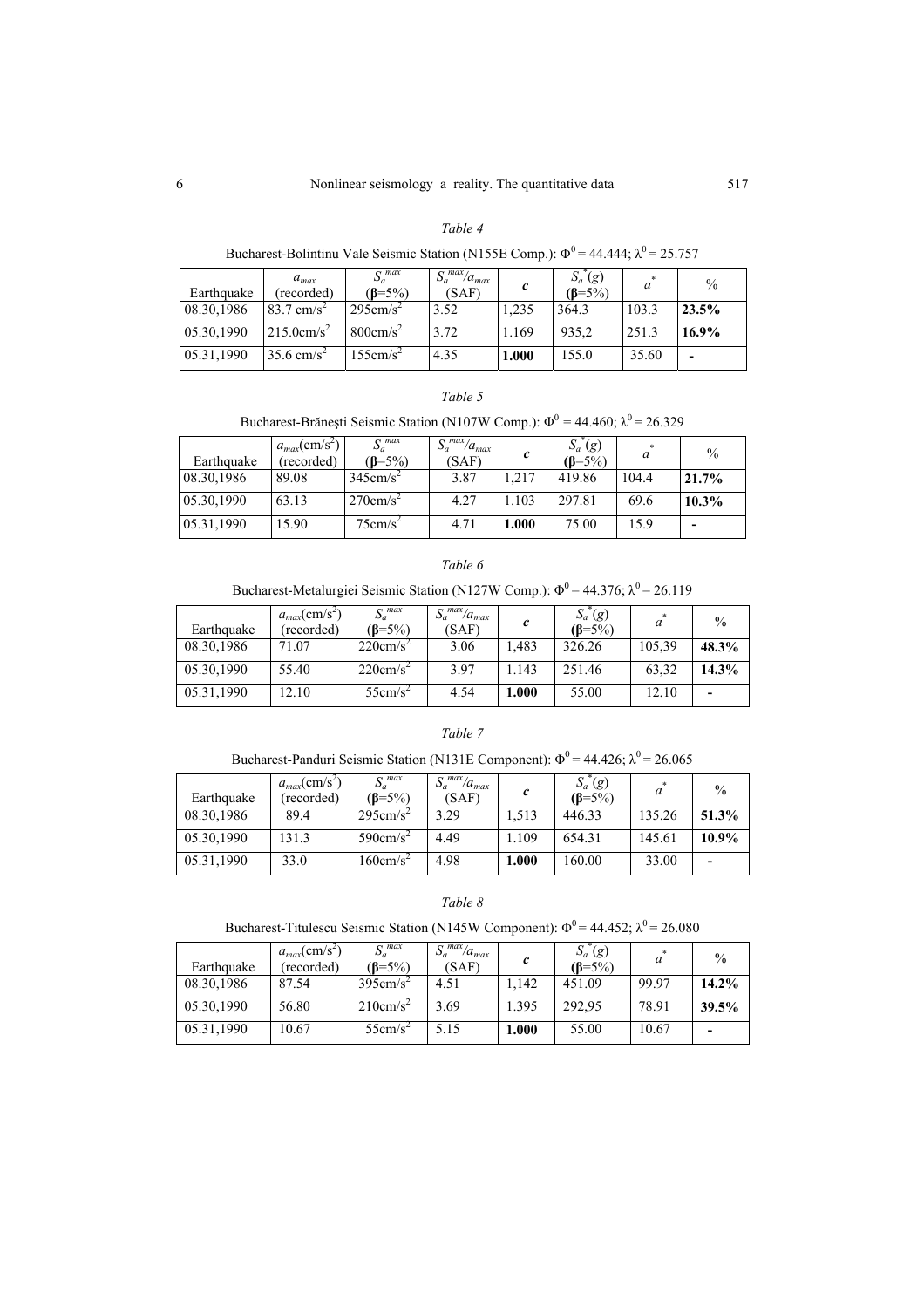### *Table 4*

| Bucharest-Bolintinu Vale Seismic Station (N155E Comp.): $\Phi^0$ = 44.444; $\lambda^0$ = 25.757 |  |
|-------------------------------------------------------------------------------------------------|--|
|-------------------------------------------------------------------------------------------------|--|

| Earthquake | $a_{max}$<br>(recorded) | $\alpha$ max<br>$\Delta_a$<br>$(B=5\%)$ | $\sim \frac{max}{max}/a_{max}$<br>$\mathcal{Q}_a$<br>(SAF) | c     | $S_a$ $(g)$<br>$(B=5\%)$ | $\alpha$ | $\frac{0}{0}$ |
|------------|-------------------------|-----------------------------------------|------------------------------------------------------------|-------|--------------------------|----------|---------------|
| 08.30,1986 | 83.7 cm/s <sup>2</sup>  | $295 \text{cm/s}^2$                     | 3.52                                                       | 1,235 | 364.3                    | 103.3    | 23.5%         |
| 05.30.1990 | $215.0 \text{cm/s}^2$   | $800 \text{cm/s}^2$                     | 3.72                                                       | 1.169 | 935,2                    | 251.3    | 16.9%         |
| 05.31,1990 | 35.6 cm/s <sup>2</sup>  | $155 \text{cm/s}^2$                     | 4.35                                                       | 1.000 | 155.0                    | 35.60    | -             |

#### *Table 5*

## Bucharest-Brănești Seismic Station (N107W Comp.):  $\Phi^0 = 44.460$ ;  $\lambda^0 = 26.329$

| Earthquake | $a_{max}(cm/s^2)$<br>(recorded) | $C$ max<br>$\mathcal{Q}_a$<br>$(B=5\%)$ | $\frac{1}{2}$ $\frac{1}{2}$ $\frac{1}{2}$ $\frac{1}{2}$ $\frac{1}{2}$ $\frac{1}{2}$ $\frac{1}{2}$ $\frac{1}{2}$ $\frac{1}{2}$ $\frac{1}{2}$ $\frac{1}{2}$ $\frac{1}{2}$ $\frac{1}{2}$ $\frac{1}{2}$ $\frac{1}{2}$ $\frac{1}{2}$ $\frac{1}{2}$ $\frac{1}{2}$ $\frac{1}{2}$ $\frac{1}{2}$ $\frac{1}{2}$ $\frac{1}{2}$<br>(SAF) | c     | $S_a(g)$<br>$(B=5\%)$ | 米<br>a | $\%$  |
|------------|---------------------------------|-----------------------------------------|------------------------------------------------------------------------------------------------------------------------------------------------------------------------------------------------------------------------------------------------------------------------------------------------------------------------------|-------|-----------------------|--------|-------|
| 08.30,1986 | 89.08                           | $345 \text{cm/s}^2$                     | 3.87                                                                                                                                                                                                                                                                                                                         | 1,217 | 419.86                | 104.4  | 21.7% |
| 05.30,1990 | 63.13                           | $270 \text{cm/s}^2$                     | 4.27                                                                                                                                                                                                                                                                                                                         | .103  | 297.81                | 69.6   | 10.3% |
| 05.31,1990 | 15.90                           | $75 \text{cm/s}^2$                      | 4.71                                                                                                                                                                                                                                                                                                                         | 1.000 | 75.00                 | 15.9   |       |

#### *Table 6*

# Bucharest-Metalurgiei Seismic Station (N127W Comp.):  $\Phi^0 = 44.376$ ;  $\lambda^0 = 26.119$

| Earthquake | $a_{max}(cm/s^2)$<br>(recorded) | $C$ max<br>$\Delta_a$<br>$(B=5\%)$ | $\frac{1}{2}$ $\frac{1}{2}$ $\frac{1}{2}$ $\frac{1}{2}$ $\frac{1}{2}$ $\frac{1}{2}$ $\frac{1}{2}$ $\frac{1}{2}$ $\frac{1}{2}$ $\frac{1}{2}$ $\frac{1}{2}$ $\frac{1}{2}$ $\frac{1}{2}$ $\frac{1}{2}$ $\frac{1}{2}$ $\frac{1}{2}$ $\frac{1}{2}$ $\frac{1}{2}$ $\frac{1}{2}$ $\frac{1}{2}$ $\frac{1}{2}$ $\frac{1}{2}$<br>(SAF) | c     | $S_a(g)$<br>$(B=5\%)$ |        | $\%$  |
|------------|---------------------------------|------------------------------------|------------------------------------------------------------------------------------------------------------------------------------------------------------------------------------------------------------------------------------------------------------------------------------------------------------------------------|-------|-----------------------|--------|-------|
| 08.30,1986 | 71.07                           | $220 \text{cm/s}^2$                | 3.06                                                                                                                                                                                                                                                                                                                         | 1.483 | 326.26                | 105.39 | 48.3% |
| 05.30,1990 | 55.40                           | $220 \text{cm/s}^2$                | 3.97                                                                                                                                                                                                                                                                                                                         | l.143 | 251.46                | 63.32  | 14.3% |
| 05.31,1990 | 12.10                           | $55cm/s^2$                         | 4.54                                                                                                                                                                                                                                                                                                                         | 1.000 | 55.00                 | 12.10  |       |

#### *Table 7*

# Bucharest-Panduri Seismic Station (N131E Component):  $\Phi^0 = 44.426$ ;  $\lambda^0 = 26.065$

| Earthquake | $a_{max}(cm/s^2)$<br>(recorded) | $C$ max<br>$\mathcal{Q}_a$<br>$(B=5\%)$ | $\sim m\overline{ax}/a_{max}$<br>(SAF) | c      | $S_a^*(g)$<br>$(B=5\%)$ | a      | $\frac{0}{0}$ |
|------------|---------------------------------|-----------------------------------------|----------------------------------------|--------|-------------------------|--------|---------------|
| 08.30,1986 | 89.4                            | $295 \text{cm/s}^2$                     | 3.29                                   | 1.513  | 446.33                  | 135.26 | 51.3%         |
| 05.30,1990 | 131.3                           | $590 \text{cm/s}^2$                     | 4.49                                   | ۔ 109ء | 654.31                  | 145.61 | 10.9%         |
| 05.31,1990 | 33.0                            | $160 \text{cm/s}^2$                     | 4.98                                   | 1.000  | 160.00                  | 33.00  | -             |

### *Table 8*

# Bucharest-Titulescu Seismic Station (N145W Component):  $\Phi^0 = 44.452$ ;  $\lambda^0 = 26.080$

| Earthquake | $a_{max}(cm/s^2)$<br>(recorded) | $C$ max<br>$\mathcal{Q}_a$<br>$(B=5\%)$ | $\sim \frac{m\overline{a}x}{a_{max}}$<br>(SAF) | c     | $S_a(g)$<br>$(B=5\%)$ |       | $\frac{0}{0}$ |
|------------|---------------------------------|-----------------------------------------|------------------------------------------------|-------|-----------------------|-------|---------------|
| 08.30,1986 | 87.54                           | $395 \text{cm/s}^2$                     | 4.51                                           | 1.142 | 451.09                | 99.97 | $14.2\%$      |
| 05.30,1990 | 56.80                           | $210 \text{cm/s}^2$                     | 3.69                                           | 1.395 | 292.95                | 78.91 | 39.5%         |
| 05.31,1990 | 10.67                           | $55cm/s^2$                              | 5.15                                           | 1.000 | 55.00                 | 10.67 |               |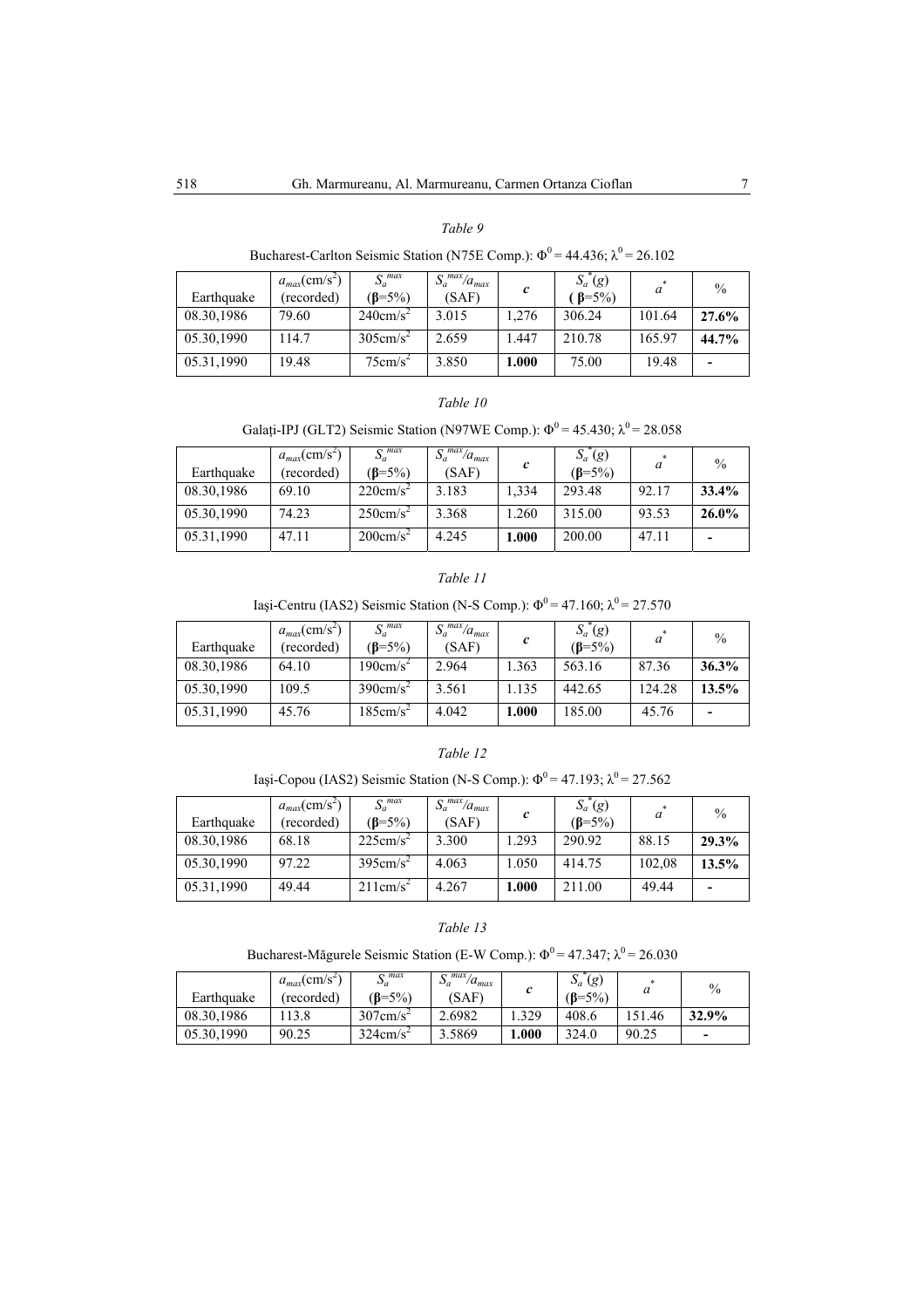## *Table 9*

# Bucharest-Carlton Seismic Station (N75E Comp.):  $\Phi^0 = 44.436$ ;  $\lambda^0 = 26.102$

| Earthquake | $a_{max}(cm/s^2)$<br>(recorded) | $S_a^{max}$<br>$(B=5\%)$ | $\sim \frac{max}{a_{max}}$<br>$\mathfrak{o}_a$<br>(SAF) | c     | $S_a(y)$<br>$\beta = 5\%$ |        | $\frac{0}{0}$ |
|------------|---------------------------------|--------------------------|---------------------------------------------------------|-------|---------------------------|--------|---------------|
| 08.30,1986 | 79.60                           | $240 \text{cm/s}^2$      | 3.015                                                   | 1.276 | 306.24                    | 101.64 | 27.6%         |
| 05.30,1990 | 114.7                           | $305 \text{cm/s}^2$      | 2.659                                                   | 1.447 | 210.78                    | 165.97 | 44.7%         |
| 05.31,1990 | 19.48                           | $75 \text{cm/s}^2$       | 3.850                                                   | 1.000 | 75.00                     | 19.48  | -             |

## *Table 10*

Galați-IPJ (GLT2) Seismic Station (N97WE Comp.):  $\Phi^0$  = 45.430;  $\lambda^0$  = 28.058

| Earthquake | $a_{max}(cm/s^2)$<br>(recorded) | $S_a^{max}$<br>$(B=5\%)$ | $\sim \frac{max}{a_{max}}$<br>$\mathcal{Q}_a$<br>(SAF) | c     | $S_a(g)$<br>$(B=5\%)$ |       | $\%$     |
|------------|---------------------------------|--------------------------|--------------------------------------------------------|-------|-----------------------|-------|----------|
| 08.30,1986 | 69.10                           | $220 \text{cm/s}^2$      | 3.183                                                  | 1.334 | 293.48                | 92.17 | 33.4%    |
| 05.30,1990 | 74.23                           | $250 \text{cm/s}^2$      | 3.368                                                  | .260  | 315.00                | 93.53 | $26.0\%$ |
| 05.31,1990 | 47.11                           | $200 \text{cm/s}^2$      | 4.245                                                  | 1.000 | 200.00                | 47.11 |          |

## *Table 11*

Iași-Centru (IAS2) Seismic Station (N-S Comp.):  $\Phi^0 = 47.160$ ;  $\lambda^0 = 27.570$ 

| Earthquake | $a_{max}(cm/s^2)$<br>(recorded) | $S_a^{max}$<br>$(B=5\%)$ | $\frac{1}{C}$ $\frac{m\overline{ax}}{a_{max}}$<br>(SAF) | c     | $S_a^{\dagger}(g)$<br>$(\beta = 5\%)$ | $\alpha$ | $\frac{0}{0}$ |
|------------|---------------------------------|--------------------------|---------------------------------------------------------|-------|---------------------------------------|----------|---------------|
| 08.30,1986 | 64.10                           | $190 \text{cm/s}^2$      | 2.964                                                   | .363  | 563.16                                | 87.36    | 36.3%         |
| 05.30,1990 | 109.5                           | $390 \text{cm/s}^2$      | 3.561                                                   | 1.135 | 442.65                                | 124.28   | 13.5%         |
| 05.31,1990 | 45.76                           | $185 \text{cm/s}^2$      | 4.042                                                   | 1.000 | 185.00                                | 45.76    |               |

#### *Table 12*

| Iași-Copou (IAS2) Seismic Station (N-S Comp.): $\Phi^0$ = 47.193; $\lambda^0$ = 27.562 |  |
|----------------------------------------------------------------------------------------|--|
|----------------------------------------------------------------------------------------|--|

| Earthquake | $a_{max}(cm/s^2)$<br>(recorded) | $C$ max<br>$\Delta_a$<br>$(B=5\%)$ | $\sim \frac{max}{a_{max}}$<br>$\mathcal{Q}_a$<br>(SAF) | c     | $S_a(g)$<br>$(B=5\%)$ |        | $\frac{0}{0}$ |
|------------|---------------------------------|------------------------------------|--------------------------------------------------------|-------|-----------------------|--------|---------------|
| 08.30,1986 | 68.18                           | $225 \text{cm/s}^2$                | 3.300                                                  | .293  | 290.92                | 88.15  | 29.3%         |
| 05.30,1990 | 97.22                           | $395 \text{cm/s}^2$                | 4.063                                                  | .050  | 414.75                | 102,08 | 13.5%         |
| 05.31,1990 | 49.44                           | $211 \text{cm/s}^2$                | 4.267                                                  | 1.000 | 211.00                | 49.44  |               |

## *Table 13*

Bucharest-Măgurele Seismic Station (E-W Comp.):  $\Phi^0 = 47.347$ ;  $\lambda^0 = 26.030$ 

| Earthquake | $a_{max}(cm/s^2)$<br>(recorded) | $\sigma$ max<br>$\omega_a$<br>$(B=5\%)$ | $\frac{1}{2}$ $\frac{1}{2}$ $\frac{1}{2}$ $\frac{1}{2}$ $\frac{1}{2}$ $\frac{1}{2}$ $\frac{1}{2}$ $\frac{1}{2}$ $\frac{1}{2}$ $\frac{1}{2}$ $\frac{1}{2}$ $\frac{1}{2}$ $\frac{1}{2}$ $\frac{1}{2}$ $\frac{1}{2}$ $\frac{1}{2}$ $\frac{1}{2}$ $\frac{1}{2}$ $\frac{1}{2}$ $\frac{1}{2}$ $\frac{1}{2}$ $\frac{1}{2}$<br>(SAF) | c    | $S_a^*(g)$<br>$(B=5\%)$ | 米<br>a | $\frac{0}{0}$            |
|------------|---------------------------------|-----------------------------------------|------------------------------------------------------------------------------------------------------------------------------------------------------------------------------------------------------------------------------------------------------------------------------------------------------------------------------|------|-------------------------|--------|--------------------------|
| 08.30,1986 | 113.8                           | $307 \text{cm/s}^2$                     | 2.6982                                                                                                                                                                                                                                                                                                                       | .329 | 408.6                   | 151.46 | 32.9%                    |
| 05.30,1990 | 90.25                           | $324 \text{cm/s}^2$                     | 3.5869                                                                                                                                                                                                                                                                                                                       | .000 | 324.0                   | 90.25  | $\overline{\phantom{0}}$ |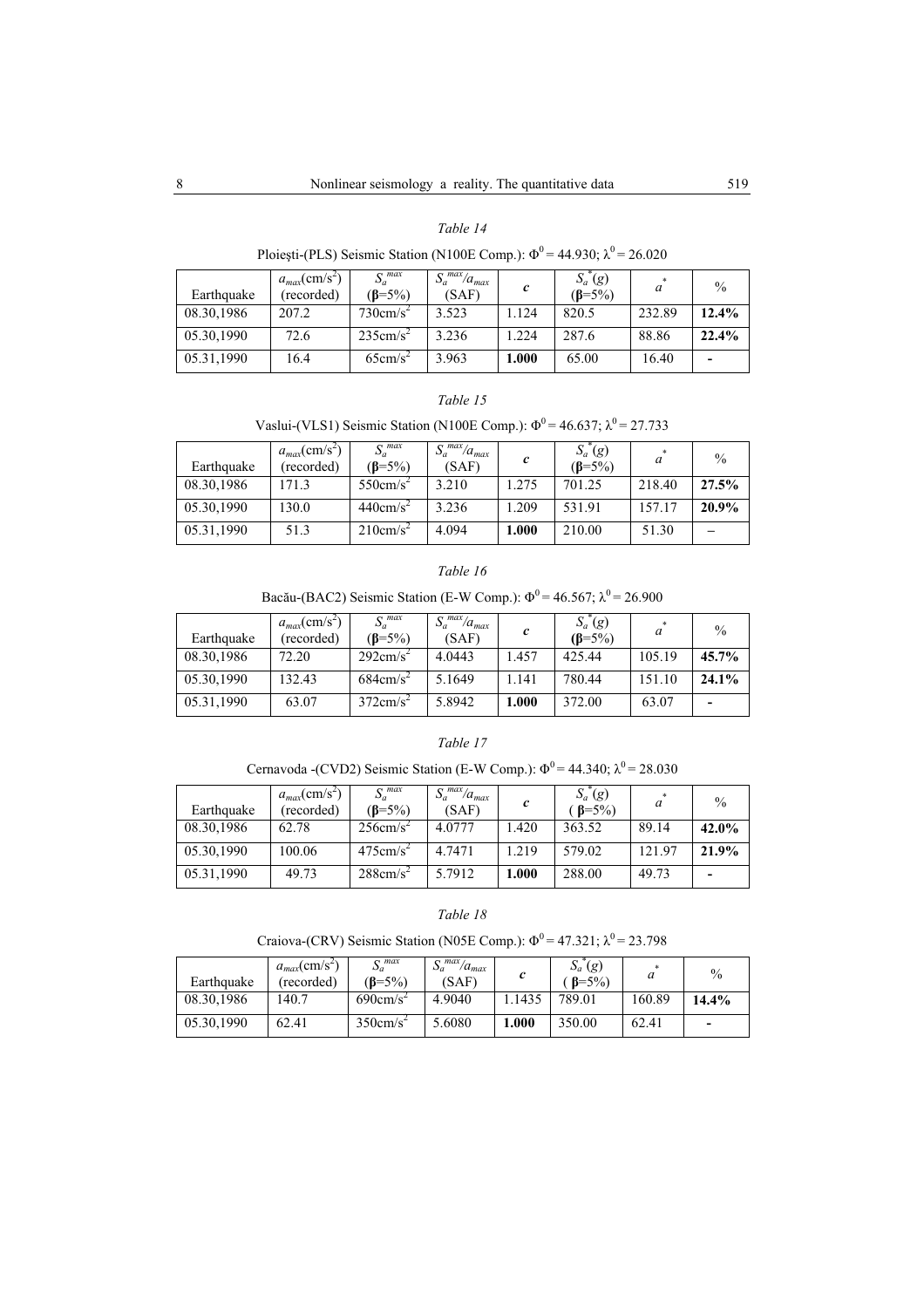## *Table 14*

# Ploiești-(PLS) Seismic Station (N100E Comp.):  $\Phi^0$  = 44.930;  $\lambda^0$  = 26.020

| Earthquake | $a_{max}(cm/s^2)$<br>(recorded) | $C$ max<br>$\mathcal{Q}_a$<br>$(B=5\%)$ | $\frac{1}{2}$ $\frac{1}{2}$ $\frac{1}{2}$ $\frac{1}{2}$ $\frac{1}{2}$ $\frac{1}{2}$ $\frac{1}{2}$ $\frac{1}{2}$ $\frac{1}{2}$ $\frac{1}{2}$ $\frac{1}{2}$ $\frac{1}{2}$ $\frac{1}{2}$ $\frac{1}{2}$ $\frac{1}{2}$ $\frac{1}{2}$ $\frac{1}{2}$ $\frac{1}{2}$ $\frac{1}{2}$ $\frac{1}{2}$ $\frac{1}{2}$ $\frac{1}{2}$<br>(SAF) | c     | $S_a$ <sup><math>\check{g}</math></sup><br>$(B=5\%)$ |        | $\%$  |
|------------|---------------------------------|-----------------------------------------|------------------------------------------------------------------------------------------------------------------------------------------------------------------------------------------------------------------------------------------------------------------------------------------------------------------------------|-------|------------------------------------------------------|--------|-------|
| 08.30,1986 | 207.2                           | $730 \text{cm/s}^2$                     | 3.523                                                                                                                                                                                                                                                                                                                        | .124  | 820.5                                                | 232.89 | 12.4% |
| 05.30,1990 | 72.6                            | $235 \text{cm/s}^2$                     | 3.236                                                                                                                                                                                                                                                                                                                        | .224  | 287.6                                                | 88.86  | 22.4% |
| 05.31,1990 | .6.4                            | $65 \text{cm/s}^2$                      | 3.963                                                                                                                                                                                                                                                                                                                        | 1.000 | 65.00                                                | 16.40  |       |

## *Table 15*

# Vaslui-(VLS1) Seismic Station (N100E Comp.):  $\Phi^0$  = 46.637;  $\lambda^0$  = 27.733

| Earthquake | $a_{max}(cm/s^2)$<br>(recorded) | $C$ max<br>$\mathcal{Q}_a$<br>$(B=5\%)$ | $\frac{1}{2}$ $\frac{1}{2}$ $\frac{1}{2}$ $\frac{1}{2}$ $\frac{1}{2}$ $\frac{1}{2}$ $\frac{1}{2}$ $\frac{1}{2}$ $\frac{1}{2}$ $\frac{1}{2}$ $\frac{1}{2}$ $\frac{1}{2}$ $\frac{1}{2}$ $\frac{1}{2}$ $\frac{1}{2}$ $\frac{1}{2}$ $\frac{1}{2}$ $\frac{1}{2}$ $\frac{1}{2}$ $\frac{1}{2}$ $\frac{1}{2}$ $\frac{1}{2}$<br>(SAF) | c     | $S_a$ <sup><math>\check{g}</math></sup><br>$(B=5\%)$ |        | $\frac{0}{0}$ |
|------------|---------------------------------|-----------------------------------------|------------------------------------------------------------------------------------------------------------------------------------------------------------------------------------------------------------------------------------------------------------------------------------------------------------------------------|-------|------------------------------------------------------|--------|---------------|
| 08.30,1986 | 171.3                           | $550 \text{cm/s}^2$                     | 3.210                                                                                                                                                                                                                                                                                                                        | .275  | 701.25                                               | 218.40 | 27.5%         |
| 05.30,1990 | 130.0                           | $440 \text{cm/s}^2$                     | 3.236                                                                                                                                                                                                                                                                                                                        | .209  | 531.91                                               | 157.17 | $20.9\%$      |
| 05.31,1990 | 51.3                            | $210 \text{cm/s}^2$                     | 4.094                                                                                                                                                                                                                                                                                                                        | 1.000 | 210.00                                               | 51.30  |               |

## *Table 16*

# Bacău-(BAC2) Seismic Station (E-W Comp.):  $\Phi^0$  = 46.567;  $\lambda^0$  = 26.900

| Earthquake | $a_{max}(cm/s^2)$<br>(recorded) | $C$ max<br>$\mathcal{Q}_a$<br>$(B=5\%)$ | $\sim \frac{m\overline{a}x}{a_{max}}$<br>(SAF) | c     | $S_a^{\dagger}(g)$<br>$(B=5\%)$ |        | $\%$  |
|------------|---------------------------------|-----------------------------------------|------------------------------------------------|-------|---------------------------------|--------|-------|
| 08.30,1986 | 72.20                           | $292 \text{cm/s}^2$                     | 4.0443                                         | .457  | 425.44                          | 105.19 | 45.7% |
| 05.30,1990 | 132.43                          | $684 \text{cm/s}^2$                     | 5.1649                                         | .141  | 780.44                          | 151.10 | 24.1% |
| 05.31,1990 | 63.07                           | $372 \text{cm/s}^2$                     | 5.8942                                         | l.000 | 372.00                          | 63.07  |       |

## *Table 17*

| Cernavoda - (CVD2) Seismic Station (E-W Comp.): $\Phi^0$ = 44.340; $\lambda^0$ = 28.030 |  |  |  |  |
|-----------------------------------------------------------------------------------------|--|--|--|--|
|-----------------------------------------------------------------------------------------|--|--|--|--|

| Earthquake | $a_{max}(cm/s^2)$<br>(recorded) | $C$ max<br>$\mathcal{Q}_a$<br>$(B=5\%)$ | $\sim$ max $a_{max}$<br>$\omega_a$<br>(SAF) | c     | $S_a$ <sup><math>\check{g}</math></sup><br>$B = 5\%$ |        | $\%$  |
|------------|---------------------------------|-----------------------------------------|---------------------------------------------|-------|------------------------------------------------------|--------|-------|
| 08.30,1986 | 62.78                           | $256$ cm/s <sup>2</sup>                 | 4.0777                                      | .420  | 363.52                                               | 89.14  | 42.0% |
| 05.30,1990 | 100.06                          | $475 \text{cm/s}^2$                     | 4.7471                                      | .219  | 579.02                                               | 121.97 | 21.9% |
| 05.31,1990 | 49.73                           | $288 \text{cm/s}^2$                     | 5.7912                                      | 1.000 | 288.00                                               | 49.73  |       |

#### *Table 18*

# Craiova-(CRV) Seismic Station (N05E Comp.):  $\Phi^0$  = 47.321;  $\lambda^0$  = 23.798

| Earthquake | $a_{max}(cm/s^2)$<br>(recorded) | max<br>$\omega_a$<br>$(B=5\%)$ | $\sim$ max $a_{max}$<br>(SAF) |       | $S_a^{\dagger}(g)$<br>$B = 5\%$ | a      | $\%$                     |
|------------|---------------------------------|--------------------------------|-------------------------------|-------|---------------------------------|--------|--------------------------|
| 08.30,1986 | 140.7                           | $690 \text{cm/s}^2$            | 4.9040                        | .1435 | 789.01                          | 160.89 | 14.4%                    |
| 05.30,1990 | 62.41                           | $350 \text{cm/s}^2$            | 5.6080                        | 000.1 | 350.00                          | 62.41  | $\overline{\phantom{a}}$ |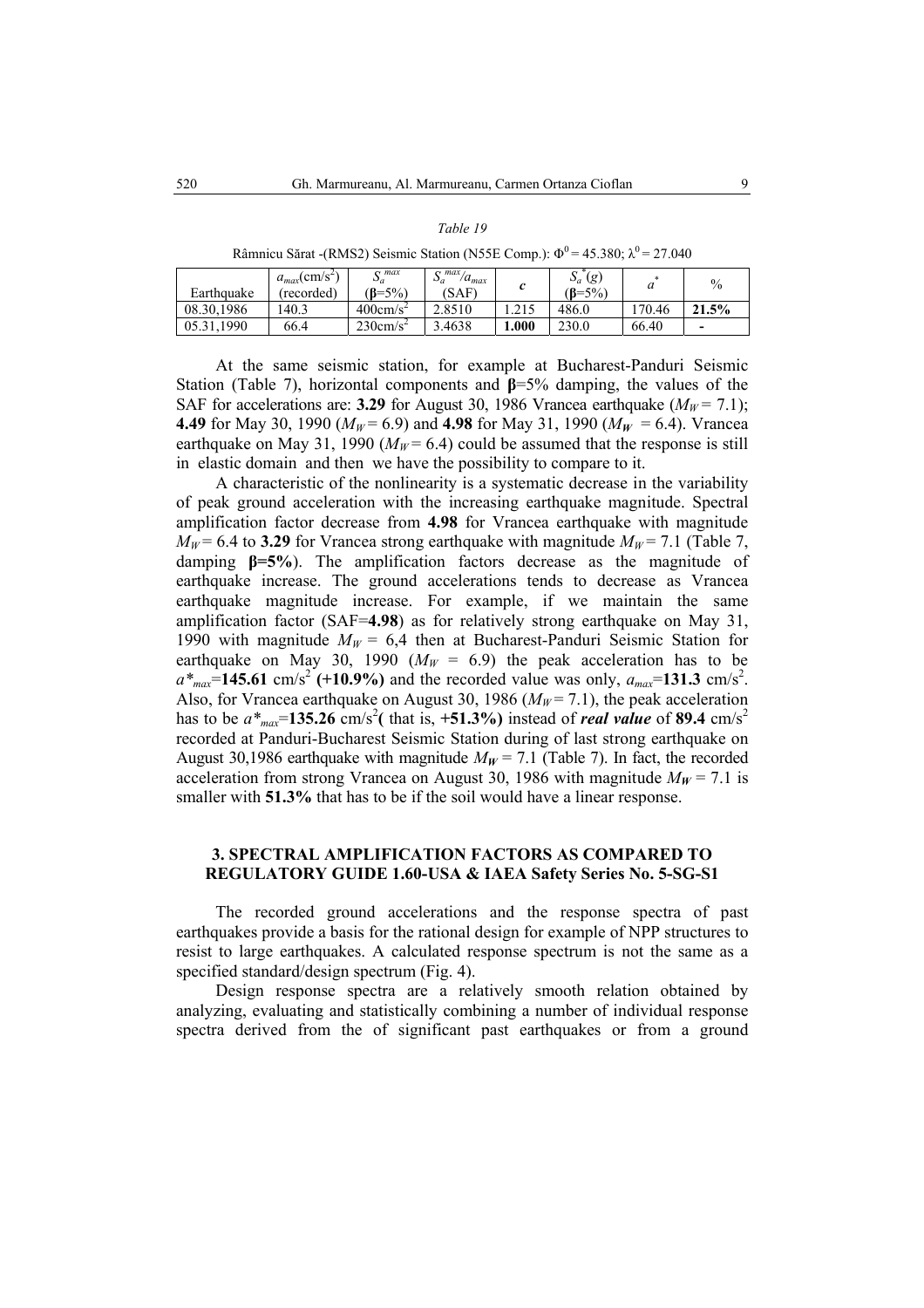| anı |  |
|-----|--|
|-----|--|

| Râmnicu Sărat -(RMS2) Seismic Station (N55E Comp.): $\Phi^0$ = 45.380; $\lambda^0$ = 27.040 |  |  |  |  |
|---------------------------------------------------------------------------------------------|--|--|--|--|
|---------------------------------------------------------------------------------------------|--|--|--|--|

| Earthquake     | $a_{max}(cm/s^2)$<br>(recorded) | max<br>$\omega_a$<br>$B = 5\%)$ | max/<br>$a_{max}$<br>$\omega_a$<br>'SAF) |       | $\mathbf{\tilde{c}}$<br>$S_a(g)$<br>$B = 5\%$ | а      | $\frac{0}{0}$            |
|----------------|---------------------------------|---------------------------------|------------------------------------------|-------|-----------------------------------------------|--------|--------------------------|
| 08.30.1986     | 40.3                            | $400 \text{cm/s}^2$             | 2.8510                                   | .215  | 486.0                                         | !70.46 | 21.5%                    |
| 990ء<br>05.31. | 66.4                            | $230 \text{cm/s}^2$             | :4638.                                   | 1.000 | 230.0                                         | 66.40  | $\overline{\phantom{0}}$ |

At the same seismic station, for example at Bucharest-Panduri Seismic Station (Table 7), horizontal components and **β**=5% damping, the values of the SAF for accelerations are: **3.29** for August 30, 1986 Vrancea earthquake  $(M_w = 7.1)$ ; **4.49** for May 30, 1990 ( $M_W = 6.9$ ) and **4.98** for May 31, 1990 ( $M_W = 6.4$ ). Vrancea earthquake on May 31, 1990 ( $M_W = 6.4$ ) could be assumed that the response is still in elastic domain and then we have the possibility to compare to it.

A characteristic of the nonlinearity is a systematic decrease in the variability of peak ground acceleration with the increasing earthquake magnitude. Spectral amplification factor decrease from **4.98** for Vrancea earthquake with magnitude  $M_W$  = 6.4 to 3.29 for Vrancea strong earthquake with magnitude  $M_W$  = 7.1 (Table 7, damping **β=5%**). The amplification factors decrease as the magnitude of earthquake increase. The ground accelerations tends to decrease as Vrancea earthquake magnitude increase. For example, if we maintain the same amplification factor (SAF=**4.98**) as for relatively strong earthquake on May 31, 1990 with magnitude  $M_W = 6.4$  then at Bucharest-Panduri Seismic Station for earthquake on May 30, 1990 ( $M_W = 6.9$ ) the peak acceleration has to be  $a^*_{max}$  = **145.61** cm/s<sup>2</sup> (+10.9%) and the recorded value was only,  $a_{max}$  = 131.3 cm/s<sup>2</sup>. Also, for Vrancea earthquake on August 30, 1986 ( $M_W$  = 7.1), the peak acceleration has to be  $a^*_{max}$ =135.26 cm/s<sup>2</sup>( that is, +51.3%) instead of *real value* of 89.4 cm/s<sup>2</sup> recorded at Panduri-Bucharest Seismic Station during of last strong earthquake on August 30,1986 earthquake with magnitude  $M_W = 7.1$  (Table 7). In fact, the recorded acceleration from strong Vrancea on August 30, 1986 with magnitude  $M_W = 7.1$  is smaller with **51.3%** that has to be if the soil would have a linear response.

## **3. SPECTRAL AMPLIFICATION FACTORS AS COMPARED TO REGULATORY GUIDE 1.60-USA & IAEA Safety Series No. 5-SG-S1**

The recorded ground accelerations and the response spectra of past earthquakes provide a basis for the rational design for example of NPP structures to resist to large earthquakes. A calculated response spectrum is not the same as a specified standard/design spectrum (Fig. 4).

Design response spectra are a relatively smooth relation obtained by analyzing, evaluating and statistically combining a number of individual response spectra derived from the of significant past earthquakes or from a ground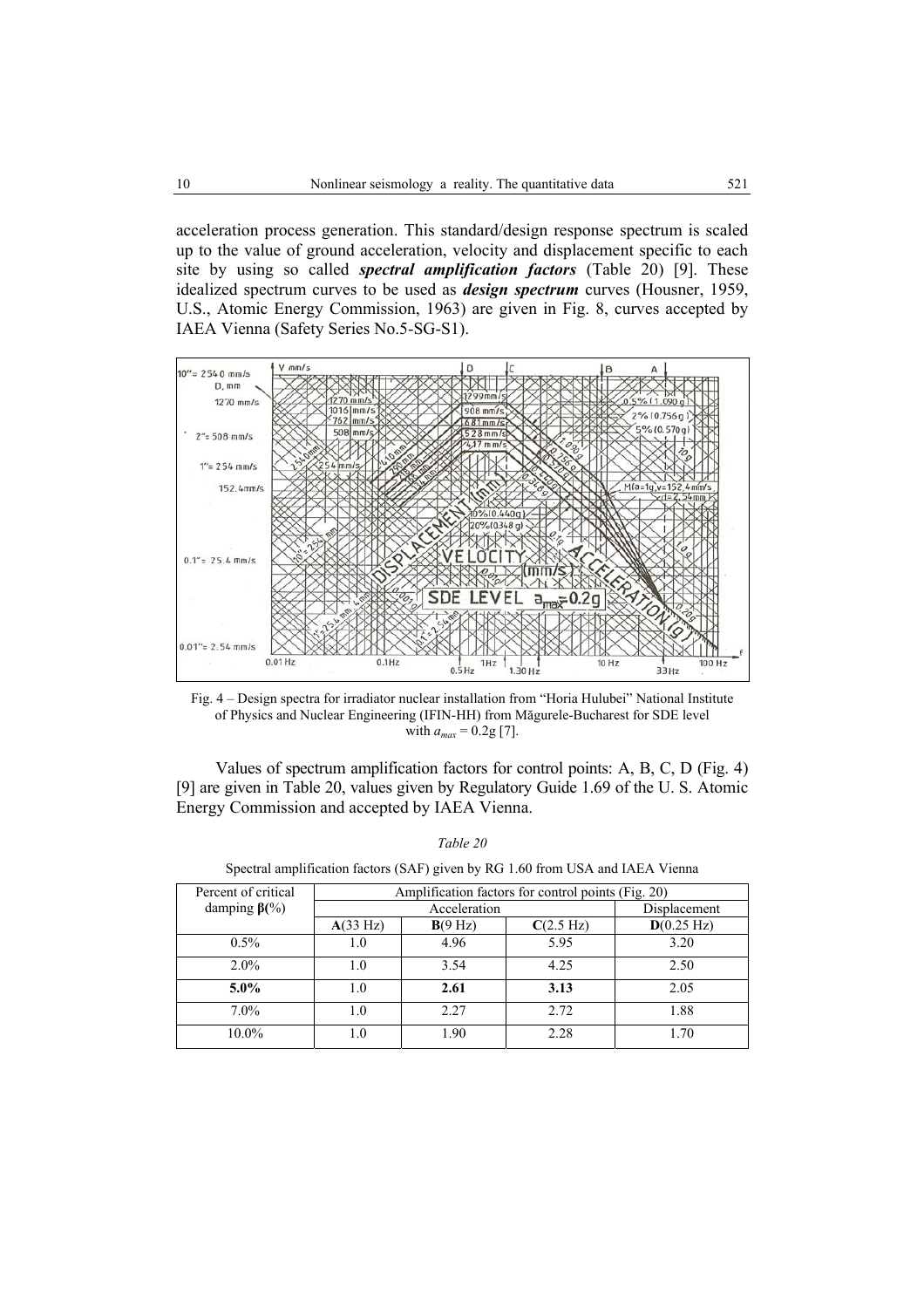acceleration process generation. This standard/design response spectrum is scaled up to the value of ground acceleration, velocity and displacement specific to each site by using so called *spectral amplification factors* (Table 20) [9]. These idealized spectrum curves to be used as *design spectrum* curves (Housner, 1959, U.S., Atomic Energy Commission, 1963) are given in Fig. 8, curves accepted by IAEA Vienna (Safety Series No.5-SG-S1).



Fig. 4 – Design spectra for irradiator nuclear installation from "Horia Hulubei" National Institute of Physics and Nuclear Engineering (IFIN-HH) from Măgurele-Bucharest for SDE level with  $a_{max} = 0.2g$  [7].

 Values of spectrum amplification factors for control points: A, B, C, D (Fig. 4) [9] are given in Table 20, values given by Regulatory Guide 1.69 of the U. S. Atomic Energy Commission and accepted by IAEA Vienna.

| Table 20 |  |
|----------|--|
|          |  |

| Spectral amplification factors (SAF) given by RG 1.60 from USA and IAEA Vienna |  |  |  |
|--------------------------------------------------------------------------------|--|--|--|
|                                                                                |  |  |  |

| Percent of critical | Amplification factors for control points (Fig. 20) |              |           |            |  |
|---------------------|----------------------------------------------------|--------------|-----------|------------|--|
| damping $\beta$ (%) |                                                    | Displacement |           |            |  |
|                     | A(33 Hz)                                           | B(9 Hz)      | C(2.5 Hz) | D(0.25 Hz) |  |
| $0.5\%$             | 1.0                                                | 4.96         | 5.95      | 3.20       |  |
| $2.0\%$             | 1.0                                                | 3.54         | 4.25      | 2.50       |  |
| $5.0\%$             | 1.0                                                | 2.61         | 3.13      | 2.05       |  |
| $7.0\%$             | 1.0                                                | 2.27         | 2.72      | 1.88       |  |
| 10.0%               | 1.0                                                | 1.90         | 2.28      | 1.70       |  |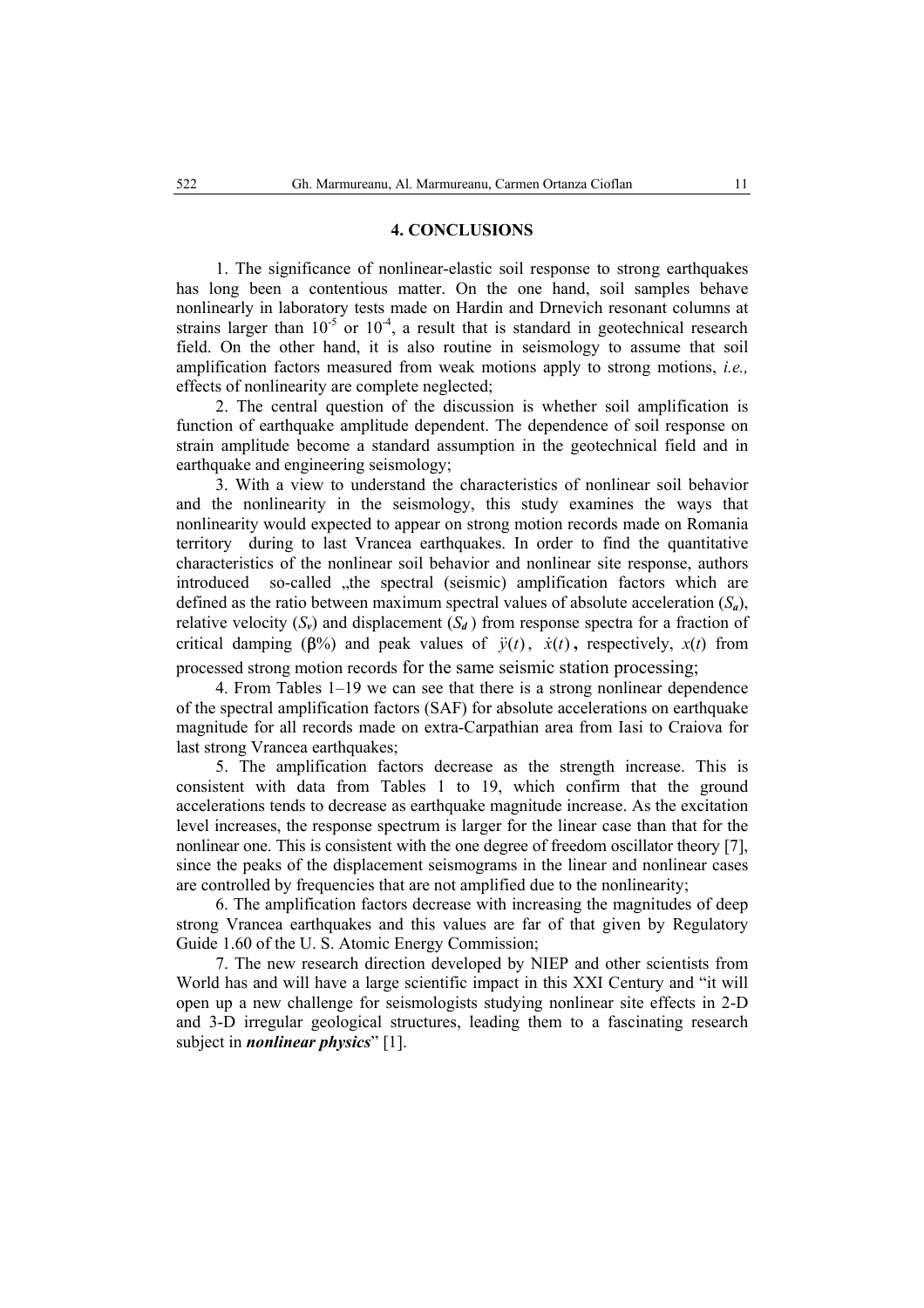### **4. CONCLUSIONS**

1. The significance of nonlinear-elastic soil response to strong earthquakes has long been a contentious matter. On the one hand, soil samples behave nonlinearly in laboratory tests made on Hardin and Drnevich resonant columns at strains larger than  $10^{-5}$  or  $10^{-4}$ , a result that is standard in geotechnical research field. On the other hand, it is also routine in seismology to assume that soil amplification factors measured from weak motions apply to strong motions, *i.e.,* effects of nonlinearity are complete neglected;

2. The central question of the discussion is whether soil amplification is function of earthquake amplitude dependent. The dependence of soil response on strain amplitude become a standard assumption in the geotechnical field and in earthquake and engineering seismology;

3. With a view to understand the characteristics of nonlinear soil behavior and the nonlinearity in the seismology, this study examines the ways that nonlinearity would expected to appear on strong motion records made on Romania territory during to last Vrancea earthquakes. In order to find the quantitative characteristics of the nonlinear soil behavior and nonlinear site response, authors introduced so-called the spectral (seismic) amplification factors which are defined as the ratio between maximum spectral values of absolute acceleration (*Sa*), relative velocity  $(S_v)$  and displacement  $(S_d)$  from response spectra for a fraction of critical damping ( $\beta$ %) and peak values of  $\ddot{y}(t)$ ,  $\dot{x}(t)$ , respectively,  $x(t)$  from processed strong motion records for the same seismic station processing;

4. From Tables 1–19 we can see that there is a strong nonlinear dependence of the spectral amplification factors (SAF) for absolute accelerations on earthquake magnitude for all records made on extra-Carpathian area from Iasi to Craiova for last strong Vrancea earthquakes;

5. The amplification factors decrease as the strength increase. This is consistent with data from Tables 1 to 19, which confirm that the ground accelerations tends to decrease as earthquake magnitude increase. As the excitation level increases, the response spectrum is larger for the linear case than that for the nonlinear one. This is consistent with the one degree of freedom oscillator theory [7], since the peaks of the displacement seismograms in the linear and nonlinear cases are controlled by frequencies that are not amplified due to the nonlinearity;

6. The amplification factors decrease with increasing the magnitudes of deep strong Vrancea earthquakes and this values are far of that given by Regulatory Guide 1.60 of the U. S. Atomic Energy Commission;

7. The new research direction developed by NIEP and other scientists from World has and will have a large scientific impact in this XXI Century and "it will open up a new challenge for seismologists studying nonlinear site effects in 2-D and 3-D irregular geological structures, leading them to a fascinating research subject in *nonlinear physics*" [1].